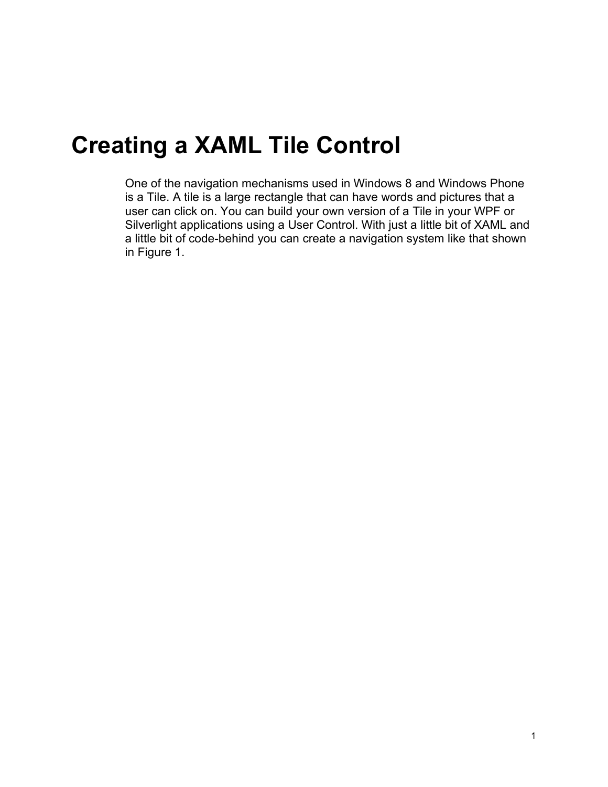# **Creating a XAML Tile Control**

One of the navigation mechanisms used in Windows 8 and Windows Phone is a Tile. A tile is a large rectangle that can have words and pictures that a user can click on. You can build your own version of a Tile in your WPF or Silverlight applications using a User Control. With just a little bit of XAML and a little bit of code-behind you can create a navigation system like that shown in [Figure 1.](#page-1-0)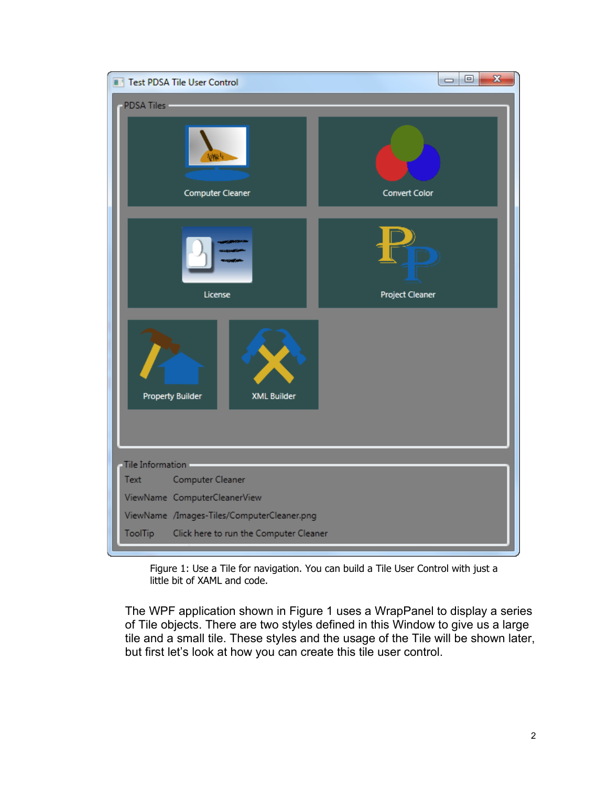| Test PDSA Tile User Control                       | X<br>$  -$      |
|---------------------------------------------------|-----------------|
| <b>PDSA Tiles</b>                                 |                 |
| Computer Cleaner                                  | Convert Color   |
| License                                           | Project Cleaner |
| <b>Property Builder</b><br><b>XML Builder</b>     |                 |
| Tile Information                                  |                 |
| Computer Cleaner<br>Text                          |                 |
| ViewName ComputerCleanerView                      |                 |
| ViewName /Images-Tiles/ComputerCleaner.png        |                 |
| Click here to run the Computer Cleaner<br>ToolTip |                 |

Figure 1: Use a Tile for navigation. You can build a Tile User Control with just a little bit of XAML and code.

<span id="page-1-0"></span>The WPF application shown in [Figure 1](#page-1-0) uses a WrapPanel to display a series of Tile objects. There are two styles defined in this Window to give us a large tile and a small tile. These styles and the usage of the Tile will be shown later, but first let's look at how you can create this tile user control.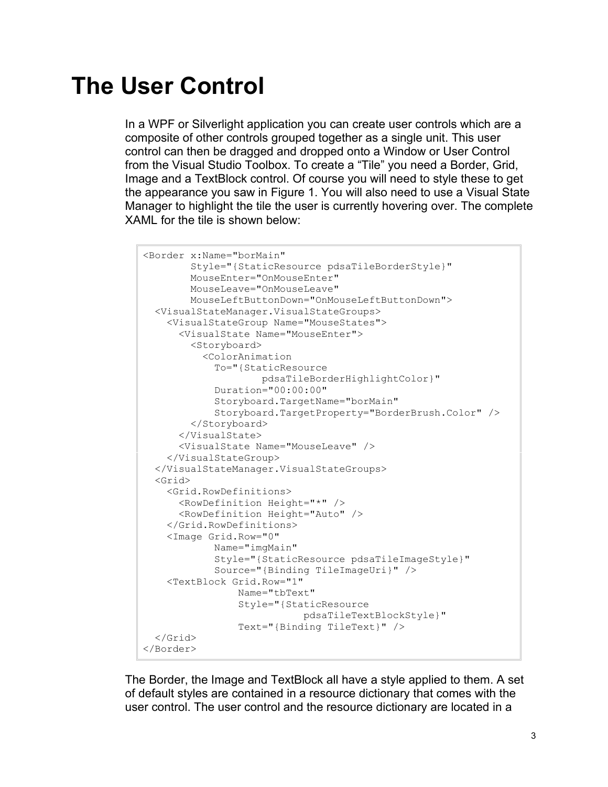# **The User Control**

In a WPF or Silverlight application you can create user controls which are a composite of other controls grouped together as a single unit. This user control can then be dragged and dropped onto a Window or User Control from the Visual Studio Toolbox. To create a "Tile" you need a Border, Grid, Image and a TextBlock control. Of course you will need to style these to get the appearance you saw in [Figure 1.](#page-1-0) You will also need to use a Visual State Manager to highlight the tile the user is currently hovering over. The complete XAML for the tile is shown below:

```
<Border x:Name="borMain"
         Style="{StaticResource pdsaTileBorderStyle}"
         MouseEnter="OnMouseEnter"
         MouseLeave="OnMouseLeave"
         MouseLeftButtonDown="OnMouseLeftButtonDown">
  <VisualStateManager.VisualStateGroups>
     <VisualStateGroup Name="MouseStates">
       <VisualState Name="MouseEnter">
         <Storyboard>
           <ColorAnimation 
             To="{StaticResource 
                     pdsaTileBorderHighlightColor}"
             Duration="00:00:00"
             Storyboard.TargetName="borMain"
             Storyboard.TargetProperty="BorderBrush.Color" />
         </Storyboard>
       </VisualState>
       <VisualState Name="MouseLeave" />
     </VisualStateGroup>
  </VisualStateManager.VisualStateGroups>
  <Grid>
     <Grid.RowDefinitions>
      <RowDefinition Height="*" />
       <RowDefinition Height="Auto" />
     </Grid.RowDefinitions>
     <Image Grid.Row="0"
             Name="imgMain"
             Style="{StaticResource pdsaTileImageStyle}"
             Source="{Binding TileImageUri}" />
     <TextBlock Grid.Row="1"
                 Name="tbText"
                 Style="{StaticResource 
                            pdsaTileTextBlockStyle}"
                 Text="{Binding TileText}" />
  </Grid>
</Border>
```
The Border, the Image and TextBlock all have a style applied to them. A set of default styles are contained in a resource dictionary that comes with the user control. The user control and the resource dictionary are located in a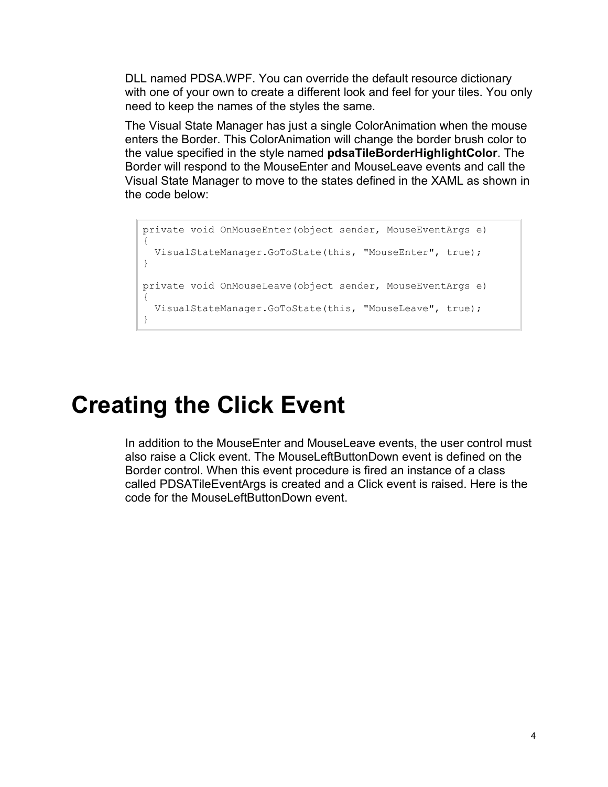DLL named PDSA.WPF. You can override the default resource dictionary with one of your own to create a different look and feel for your tiles. You only need to keep the names of the styles the same.

The Visual State Manager has just a single ColorAnimation when the mouse enters the Border. This ColorAnimation will change the border brush color to the value specified in the style named **pdsaTileBorderHighlightColor**. The Border will respond to the MouseEnter and MouseLeave events and call the Visual State Manager to move to the states defined in the XAML as shown in the code below:

```
private void OnMouseEnter(object sender, MouseEventArgs e)
{
  VisualStateManager.GoToState(this, "MouseEnter", true);
}
private void OnMouseLeave(object sender, MouseEventArgs e)
{
   VisualStateManager.GoToState(this, "MouseLeave", true);
}
```
#### **Creating the Click Event**

In addition to the MouseEnter and MouseLeave events, the user control must also raise a Click event. The MouseLeftButtonDown event is defined on the Border control. When this event procedure is fired an instance of a class called PDSATileEventArgs is created and a Click event is raised. Here is the code for the MouseLeftButtonDown event.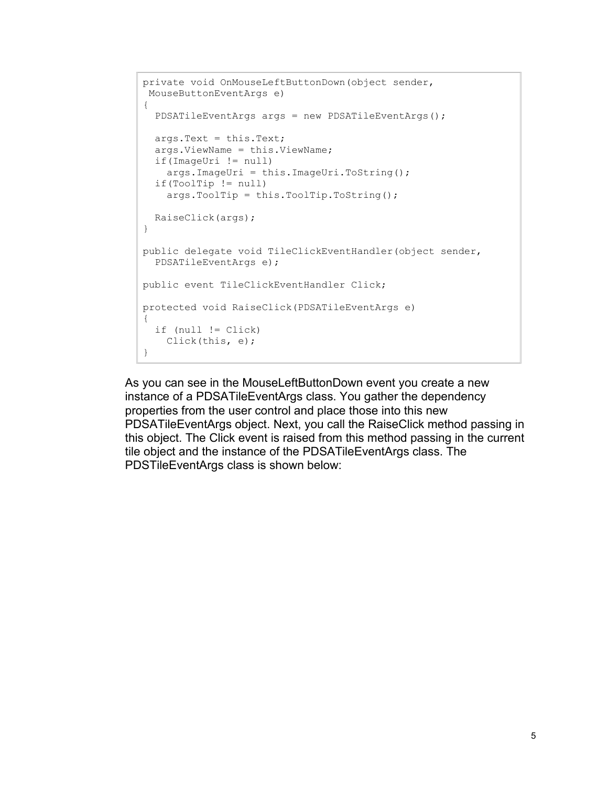```
private void OnMouseLeftButtonDown(object sender, 
MouseButtonEventArgs e)
{
 PDSATileEventArgs args = new PDSATileEventArgs();
  args.Text = this.Text;
  args.ViewName = this.ViewName;
  if(ImageUri != null)
     args.ImageUri = this.ImageUri.ToString();
  if(ToolTip != null)
    args.ToolTip = this.ToolTip.ToString(); RaiseClick(args);
}
public delegate void TileClickEventHandler(object sender,
  PDSATileEventArgs e);
public event TileClickEventHandler Click;
protected void RaiseClick(PDSATileEventArgs e)
{
   if (null != Click)
    Click(this, e);
}
```
As you can see in the MouseLeftButtonDown event you create a new instance of a PDSATileEventArgs class. You gather the dependency properties from the user control and place those into this new PDSATileEventArgs object. Next, you call the RaiseClick method passing in this object. The Click event is raised from this method passing in the current tile object and the instance of the PDSATileEventArgs class. The PDSTileEventArgs class is shown below: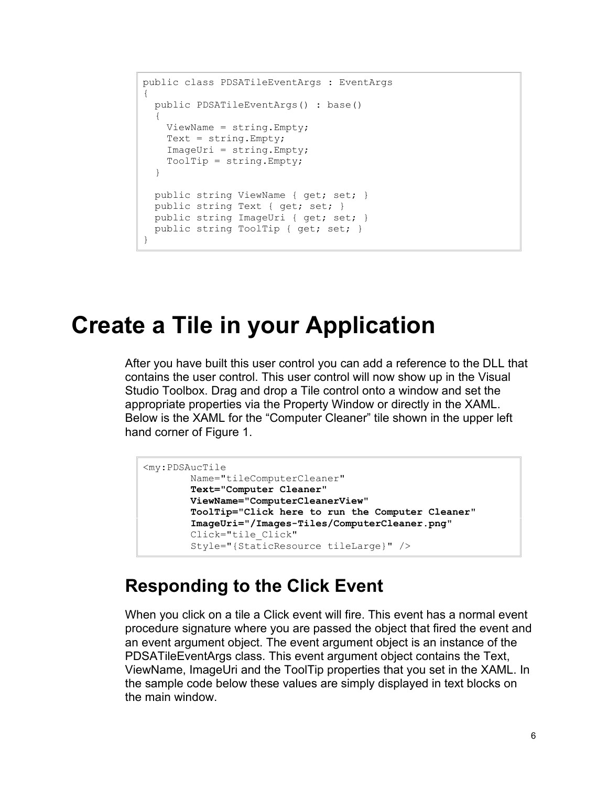```
public class PDSATileEventArgs : EventArgs
{
  public PDSATileEventArgs() : base()
\{ ViewName = string.Empty;
   Text = string.Fmyty; ImageUri = string.Empty;
    ToolTip = string.Empty;
   }
 public string ViewName { get; set; }
  public string Text { get; set; }
  public string ImageUri { get; set; }
 public string ToolTip { get; set; }
}
```
### **Create a Tile in your Application**

After you have built this user control you can add a reference to the DLL that contains the user control. This user control will now show up in the Visual Studio Toolbox. Drag and drop a Tile control onto a window and set the appropriate properties via the Property Window or directly in the XAML. Below is the XAML for the "Computer Cleaner" tile shown in the upper left hand corner of [Figure 1.](#page-1-0)

```
<my:PDSAucTile 
        Name="tileComputerCleaner"
        Text="Computer Cleaner"
        ViewName="ComputerCleanerView"
         ToolTip="Click here to run the Computer Cleaner"
         ImageUri="/Images-Tiles/ComputerCleaner.png"
         Click="tile_Click" 
         Style="{StaticResource tileLarge}" />
```
#### **Responding to the Click Event**

When you click on a tile a Click event will fire. This event has a normal event procedure signature where you are passed the object that fired the event and an event argument object. The event argument object is an instance of the PDSATileEventArgs class. This event argument object contains the Text, ViewName, ImageUri and the ToolTip properties that you set in the XAML. In the sample code below these values are simply displayed in text blocks on the main window.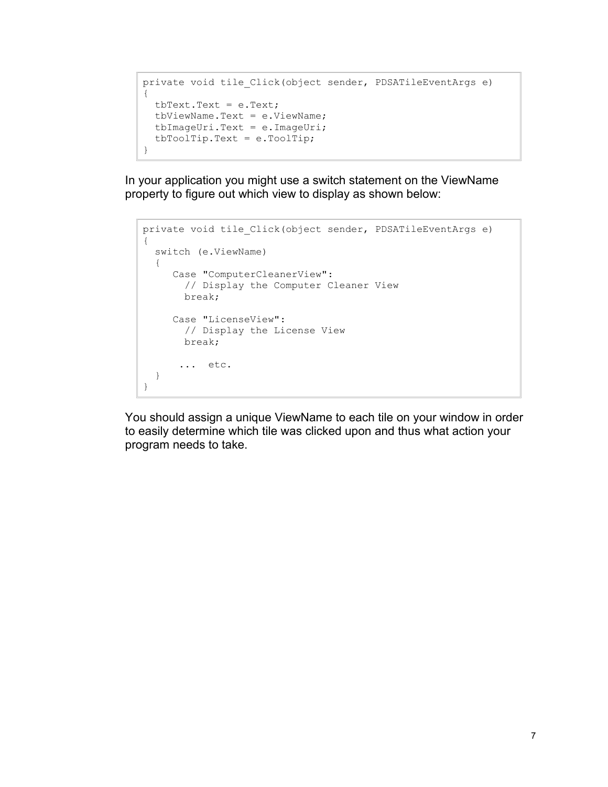```
private void tile Click(object sender, PDSATileEventArgs e)
{
  tbText.Text = e.Text;
  tbViewName.Text = e.ViewName;
  tbImageUri.Text = e.ImageUri;
  tbToolTip.Text = e.ToolTip;
}
```
In your application you might use a switch statement on the ViewName property to figure out which view to display as shown below:

```
private void tile_Click(object sender, PDSATileEventArgs e)
{
   switch (e.ViewName)
   {
      Case "ComputerCleanerView":
        // Display the Computer Cleaner View
        break;
      Case "LicenseView":
        // Display the License View
        break;
       ... etc.
   }
}
```
You should assign a unique ViewName to each tile on your window in order to easily determine which tile was clicked upon and thus what action your program needs to take.